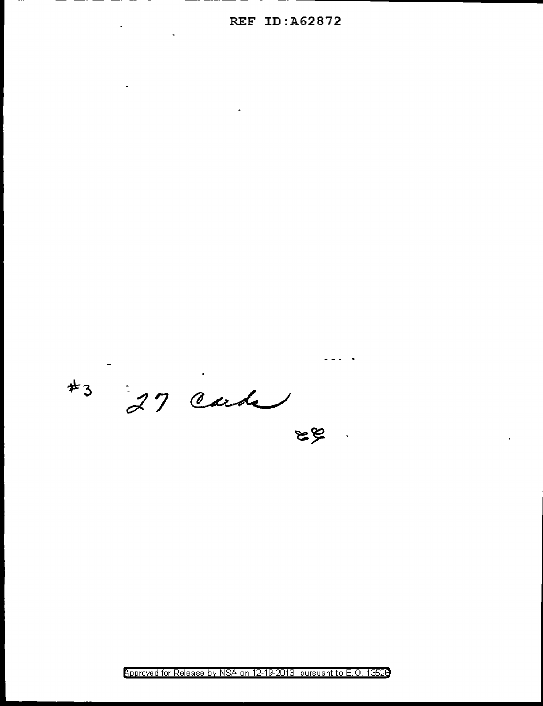$\mathbb{Z}$ 

 $43$  27 cards

Approved for Release by NSA on 12-19-2013 pursuant to E.O. 13520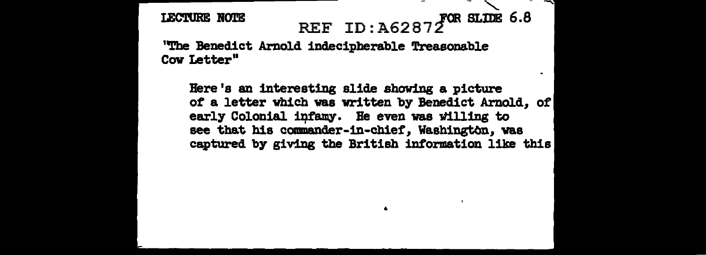## $SLIDE 6.8$ **LECTURE NOTE** REF ID:  $A62872$

"The Benedict Arno1d indecipherable Treasonable Cow Letter"

Here's an interesting slide showing a picture of a letter which was written by Benedict Arnold, *ot*  early Colonial infamy. He even was willing to see that his commander-in-chief, Washington, was captured by giving the British information like this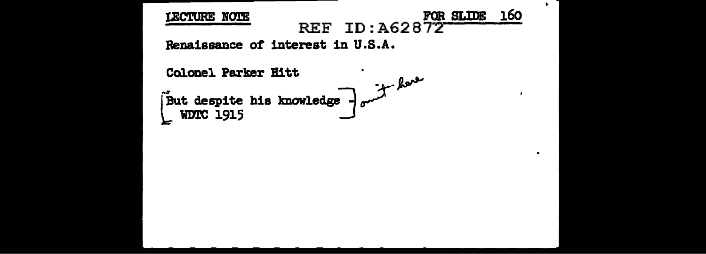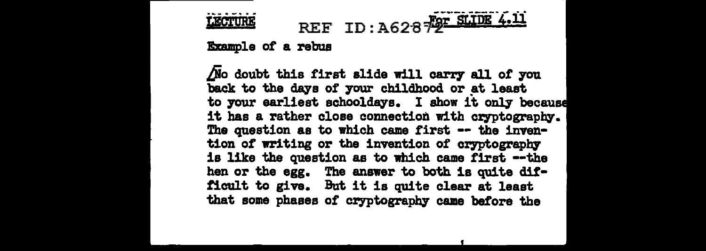## REF ID: A628 FOR SLIDE 4.11 **LECTURE**

Example of a rebus

/jo doubt this first slide will carry all *ot* ;you back to the days of your childhood or at least to your earliest schooldays. I show it only because it has a rather close connection with cryptography. The question as to which came first -- the invention of writing or the invention of cryptography is like the question as to which came first --the hen or the egg. The answer to both is quite dit• ticult to give. But it is quite clear at least that some phases of cryptography came before the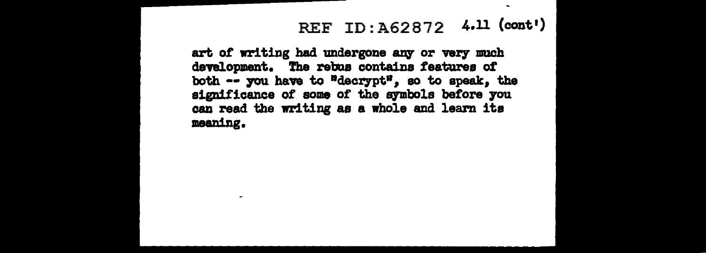## REF ID: A62872 4.11 (cont')

art of writing had undergone any or very much development. The rebus contains features of both -- you have to "decrypt", so to speak, the significance of some of the symbols before you can read the writing as a whole and learn its meaning.

۰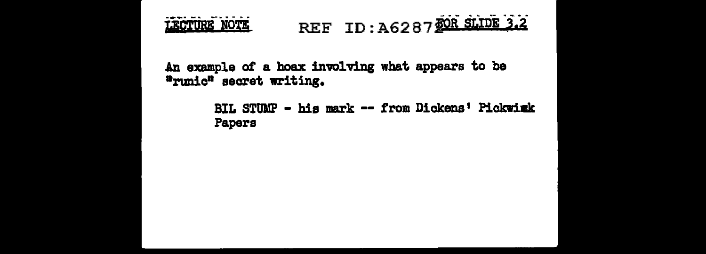#### REF ID : A62 8 7 j>Ii §Lroi ·j.2 \_\_\_\_\_\_\_\_\_ LECTURE NOTE

An example of a hoax inwlving what appears to be •runic" secret writing.

> BIL STUMP - his mark -- from Dickens' Pickwink Papers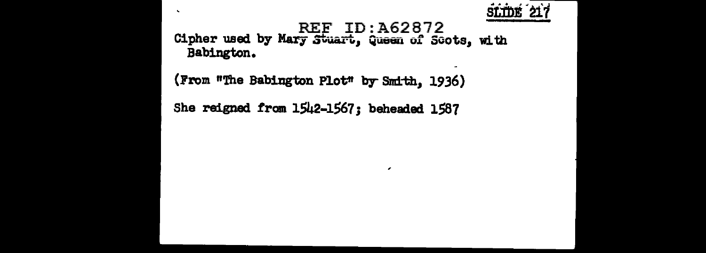

## REF ID: A62872 Babington.

 $\epsilon$ 

(From "The Babington Plot" by Smith, 1936)

 $\mathbf{v}$ 

She reigned from 1542-1567; beheaded 1587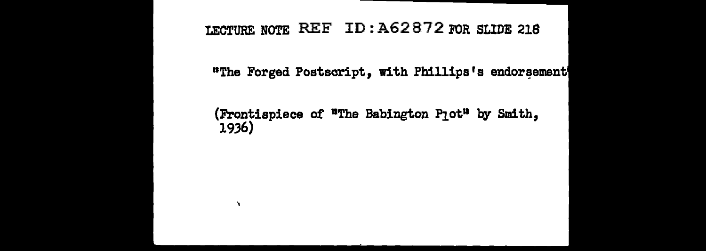## LECTURE NOTE REF ID: A62872 FOR SLIDE 218

"The Forged Postscript, with Phillips's endorsement

## (Frontispiece of "The Babington P1ot" by Smith, 1936)

 $\mathbf{r}_\mathrm{c}$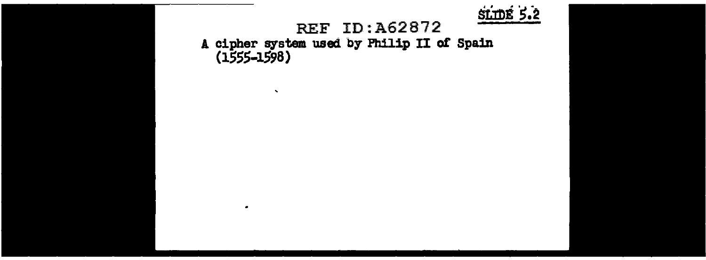

## REF ID:A62872

A cipher system used by Philip II *ot* Spain (1SSS-1S98)

 $\ddot{\phantom{1}}$ 

 $\bullet$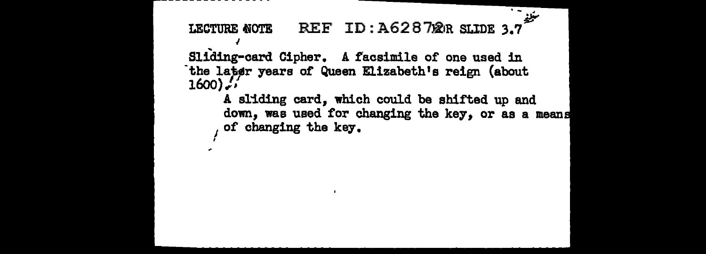$\frac{1}{\sqrt{2\pi}}$ REF ID: A62872R SLIDE 3.7 LECTURE NOTE

Sliding-card Cipher. A facsimile of one used in the later years of Queen Elizabeth's reign (about  $1600$ 

> A sliding card. which could be shifted up and down, was used for changing the key, or as a means of changing the key.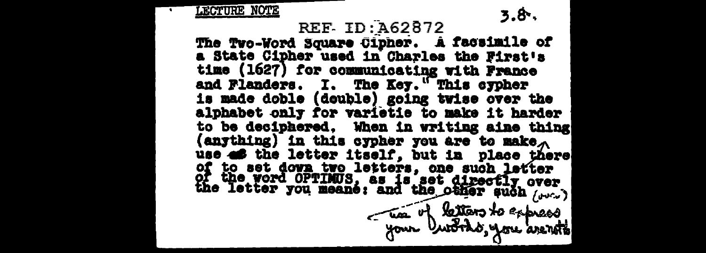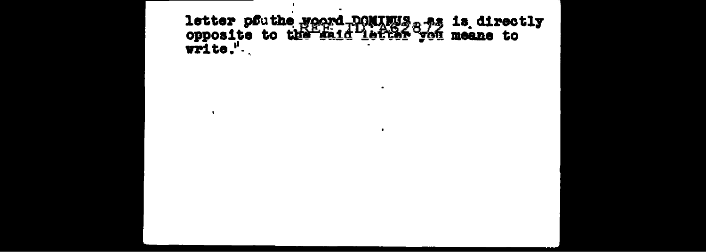letter pouthe woord pontwys a as is directly<br>opposite to the said letter you meane to<br>write."

 $\blacksquare$ 

 $\bullet$ 

 $\bullet$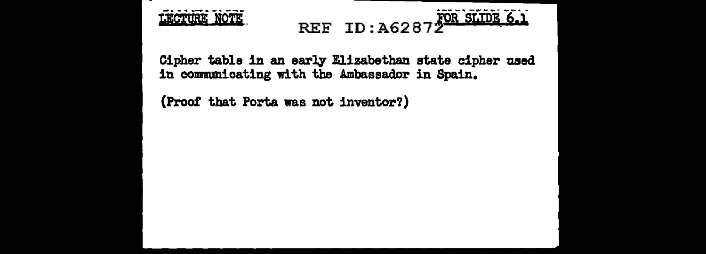LECTURE NOTE

# REF ID:A62872 SLIDE 6.1

Cipher table in an early Elizabethan state cipher used in communicating with the Ambassador in Spain.

(Proof that Porta was not inventor?)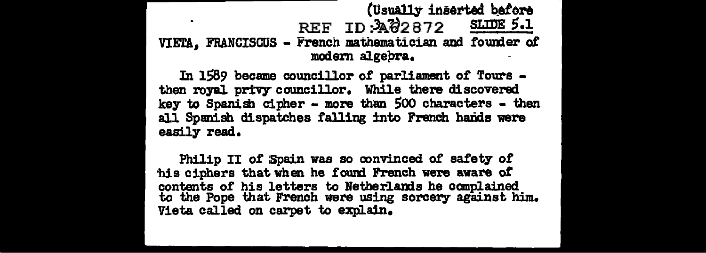## (Usually inserted before REF ID: 34 82872 SLUDE 5.1 VIETA, FRANCISCUS - French mathematician and founder of modem algepra.

In 1589 became councillor of parliament of Tours then royal privy councillor. While there discovered key to Spanish cipher - more than Soo characters - then all Spanish dispatches falling into French hands were easily read.

Philip II of Spain was so convinced of safety of 'his ciphers that when he found French were aware *ot*  contents of his letters to Netherlands he complained to the Pope that French were using sorcery against him. Vieta called on carpet to explain.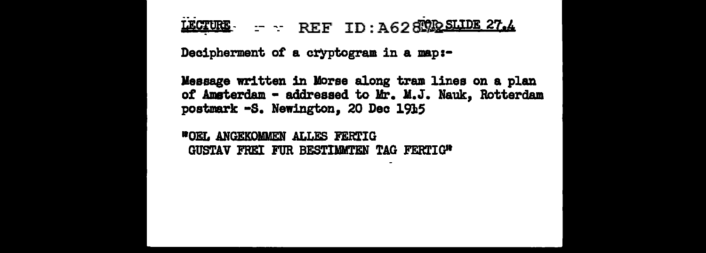LECTURE - REF ID: A628 ORD SLIDE 27.4

Decipherment of a cryptogram in a map:-

Message written in Morse along tram lines on a plan of Amsterdam - addressed to Mr. M.J. Nauk, Rotterdam postmark -S. Newington, 20 Dec 1915

**WOEL ANGEKOMMEN ALLES FERTIG** GUSTAV FREI FUR BESTIMMTEN TAG FERTIG"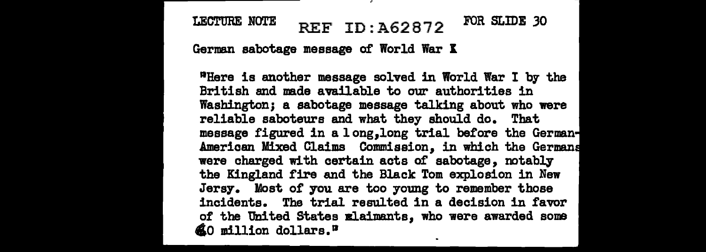## LECTURE NOTE REF  $ID: A62872$  FOR SLIDE 30

German sabotage message of World War K

<sup>11</sup>Here is another message solved in World War I by the British and made available to our authorities in Washington; a sabotage message talking about who were reliable saboteurs and what they should do. That message figured in a 1 ong,long trial before the German American Mixed Claims Commission, in which the German were charged with certain acts of sabotage, notably the Kingland fire and the Black Tom explosion in New Jersy. Most of you are too young to remember those incidents. The trial resulted in a decision in favor of the United States Blaimants, who were awarded some  $$$  0 million dollars.<sup>n</sup>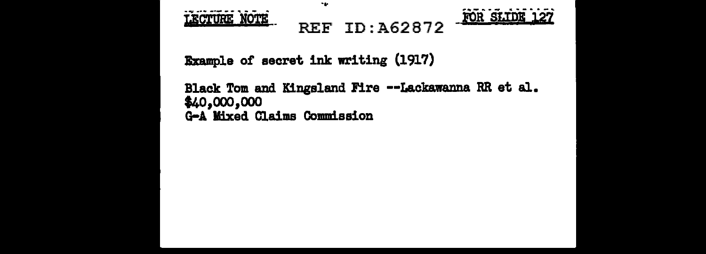



Example of secret ink writing (1917)

×.

Black Tom and Kingsland Fire --Lackawanna RR et al. \$40,000,000 G-A Mixed Claims Commission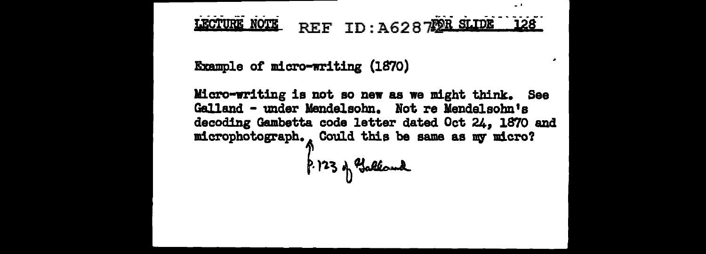#### LECTURE NOTE REF ID: A628722R SLIDE 128

 $\sim 1$ 

Example of micro-writing (1870)

Micro-writing is not so new as we might think. See Galland - under Mendelsohn. Not re Mendelsohn's decoding Gambetta code letter dated Oct 24. 1870 and microphotograph., Could this be same as my micro?

 $6.123$  of Galland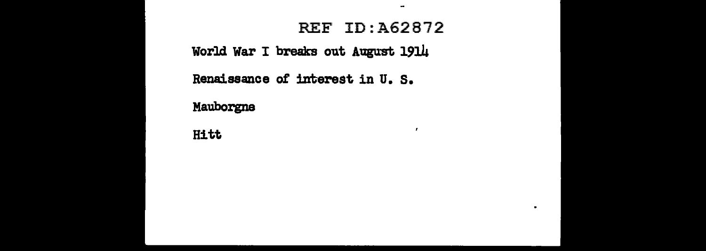## **REF ID: A62872**

 $\tilde{\phantom{a}}$ 

 $\cdot$ 

 $\blacksquare$ 

World War I breaks out August 1914

Renaissance of interest in U.S.

Mauborgne

Hitt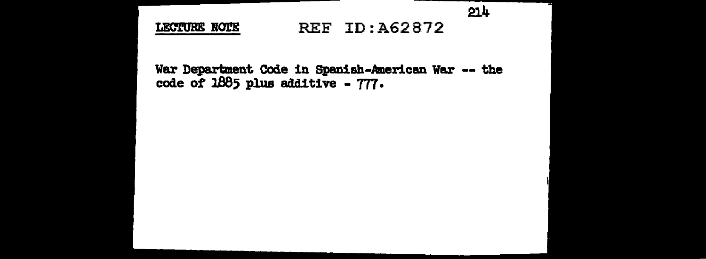$214$ 

LECTURE NOTE

## REF ID:A62872

War Department Code in Spanish-American War -- the code of 1885 plus additive - 777.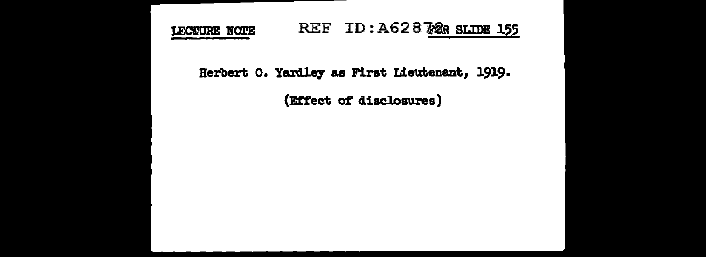#### REF ID: A628728 SLIDE 155 LECTURE NOTE

Herbert o. Yardley as First Lieutenant, 1919.

(Effect of disclosures)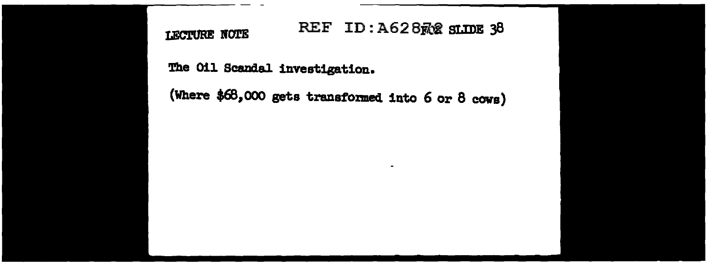LECTURE NOTE

## REF ID: A628 R& SLIDE 38

 $\blacksquare$ 

The Oil Scandal investigation.

(Where \$68, 000 gets transto:med into 6 or 8 cows)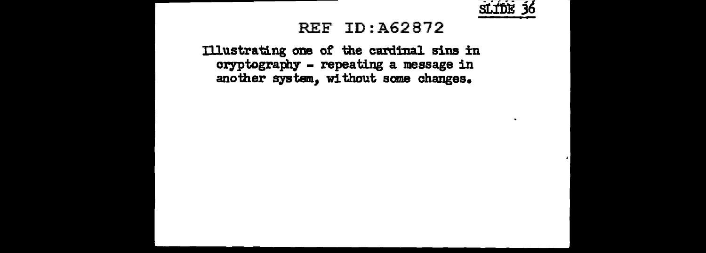

 $\sim$ 

## **REF ID: A62872**

Illustrating one of the cardinal sins in cryptography - repeating a message in another system, without some changes.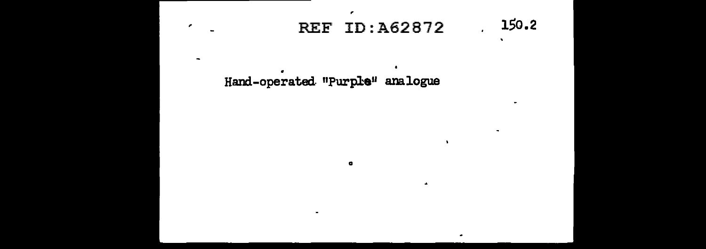#### 150.2 **REF ID:A62872**  $\overline{a}$

 $\mathbf{v}$ 

۰

 $\sim$ 

Hand-operated "Purple" analogue

۰

 $\bullet$ 

 $\epsilon$ 

**College**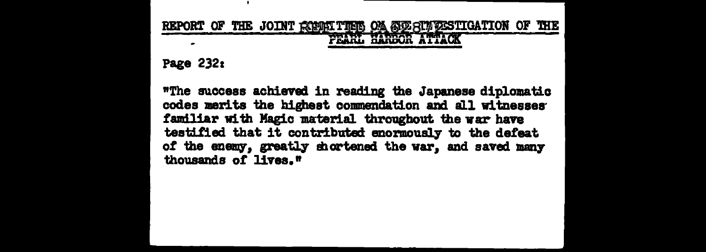## REPORT OF THE JOINT REMAITING ON SEE SUFFESTIGATION OF THE PEARL HARBOR ATTACK

Page 232:

"The success achieved in reading the Japanese diplomatic codes merits the highest commendation and all witnesses familiar with Magic material throughout the war have testified that it contributed enormously to the defeat of the enemy, greatly shortened the war, and saved many thousands of lives."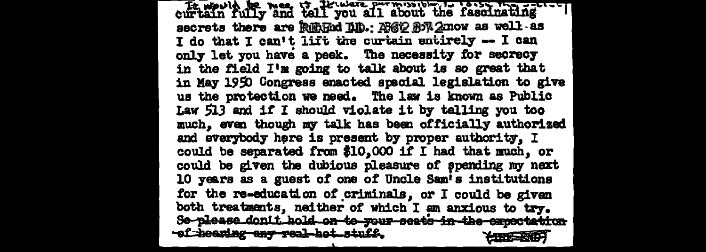through the meet through all about the fascinating secrets there are REMed LLD.: ASO 87 2mow as well as I do that I can't lift the curtain entirely -- I can only let you have a peek. The necessity for secrecy in the field I'm going to talk about is so great that in May 1950 Congress enacted special legislation to give us the protection we need. The law is known as Public Law 513 and if I should violate it by telling you too much, even though my talk has been officially authorized and everybody here is present by proper authority. I could be separated from \$10,000 if I had that much, or could be given the dubious pleasure of spending my next 10 years as a guest of one of Uncle Sam's institutions for the re-education of criminals, or I could be given both treatments, neither of which I am anxious to try. Se-please dont t hold on to your seats in the expectation of hearing any real het stuff.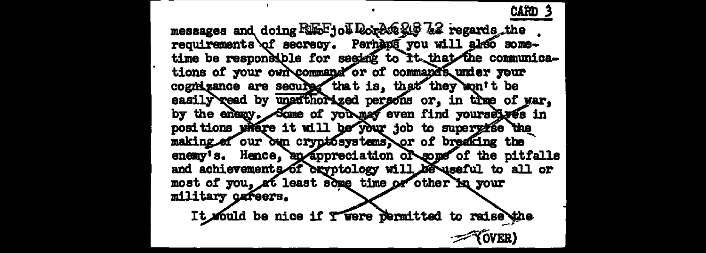ĈĂĤD messages and doing REE-jol Dorlee 216 22 regards the requirements of secrecy. Perhaps you will also sometime be responsible for seging to it that the communications of your own command or of command's under your cognizance are secured that is, that they won't be easily read by unafthorized persons or, in the of yar, by the enemy. Some of you may even find yoursely es in positions where it will be your job to supervise the making of our bun cryptosystems or of breaking the enemy's. Hence, an appreciation of some of the pitfalls and achievements of exyptology will be useful to all or most of you, at least some time or other in your military careers.

It would be nice if Twere permitted to raise the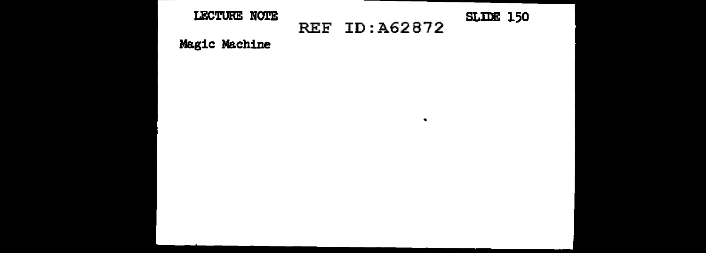### LECTURE NOTE REF ID: A62872 SLIDE 150

 $\bullet$ 

Magic Machine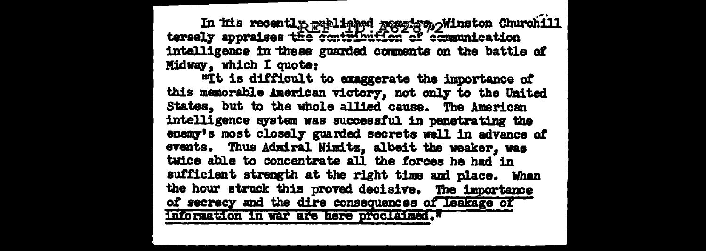In its recently published regains, Ninston Churchill<br>tersely appraises the contribution of communication intelligence in these guarded comments on the battle of Midway, which I quote:

wit is difficult to exaggerate the importance of this memorable American victory, not only to the United States, but to the whole allied cause. The American intelligence system was successful in penetrating the enemy's most closely guarded secrets well in advance of events. Thus Admiral Nimitz, albeit the weaker. was twice able to concentrate all the forces he had in sufficient strength at the right time and place. When the hour struck this proved decisive. The importance of secrecy and the dire consequences of leakage of information in war are here proclaimed."